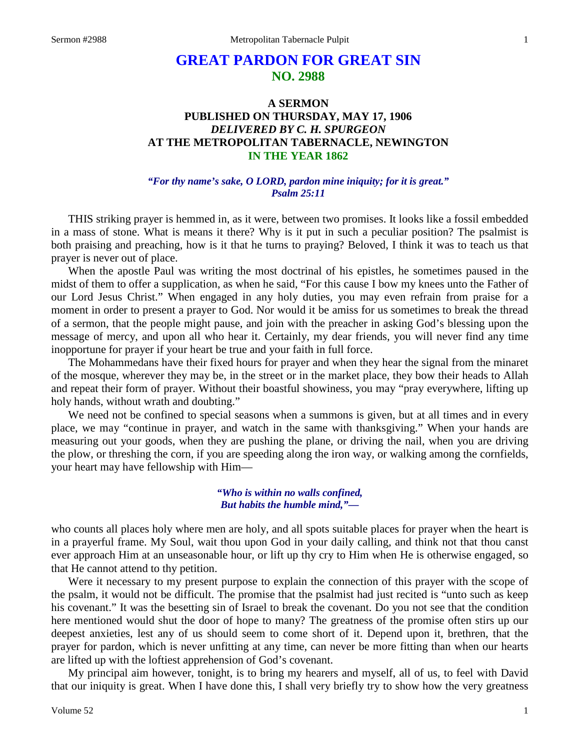# **GREAT PARDON FOR GREAT SIN NO. 2988**

## **A SERMON PUBLISHED ON THURSDAY, MAY 17, 1906** *DELIVERED BY C. H. SPURGEON* **AT THE METROPOLITAN TABERNACLE, NEWINGTON IN THE YEAR 1862**

#### *"For thy name's sake, O LORD, pardon mine iniquity; for it is great." Psalm 25:11*

THIS striking prayer is hemmed in, as it were, between two promises. It looks like a fossil embedded in a mass of stone. What is means it there? Why is it put in such a peculiar position? The psalmist is both praising and preaching, how is it that he turns to praying? Beloved, I think it was to teach us that prayer is never out of place.

When the apostle Paul was writing the most doctrinal of his epistles, he sometimes paused in the midst of them to offer a supplication, as when he said, "For this cause I bow my knees unto the Father of our Lord Jesus Christ." When engaged in any holy duties, you may even refrain from praise for a moment in order to present a prayer to God. Nor would it be amiss for us sometimes to break the thread of a sermon, that the people might pause, and join with the preacher in asking God's blessing upon the message of mercy, and upon all who hear it. Certainly, my dear friends, you will never find any time inopportune for prayer if your heart be true and your faith in full force.

The Mohammedans have their fixed hours for prayer and when they hear the signal from the minaret of the mosque, wherever they may be, in the street or in the market place, they bow their heads to Allah and repeat their form of prayer. Without their boastful showiness, you may "pray everywhere, lifting up holy hands, without wrath and doubting."

We need not be confined to special seasons when a summons is given, but at all times and in every place, we may "continue in prayer, and watch in the same with thanksgiving." When your hands are measuring out your goods, when they are pushing the plane, or driving the nail, when you are driving the plow, or threshing the corn, if you are speeding along the iron way, or walking among the cornfields, your heart may have fellowship with Him—

> *"Who is within no walls confined, But habits the humble mind,"—*

who counts all places holy where men are holy, and all spots suitable places for prayer when the heart is in a prayerful frame. My Soul, wait thou upon God in your daily calling, and think not that thou canst ever approach Him at an unseasonable hour, or lift up thy cry to Him when He is otherwise engaged, so that He cannot attend to thy petition.

Were it necessary to my present purpose to explain the connection of this prayer with the scope of the psalm, it would not be difficult. The promise that the psalmist had just recited is "unto such as keep his covenant." It was the besetting sin of Israel to break the covenant. Do you not see that the condition here mentioned would shut the door of hope to many? The greatness of the promise often stirs up our deepest anxieties, lest any of us should seem to come short of it. Depend upon it, brethren, that the prayer for pardon, which is never unfitting at any time, can never be more fitting than when our hearts are lifted up with the loftiest apprehension of God's covenant.

My principal aim however, tonight, is to bring my hearers and myself, all of us, to feel with David that our iniquity is great. When I have done this, I shall very briefly try to show how the very greatness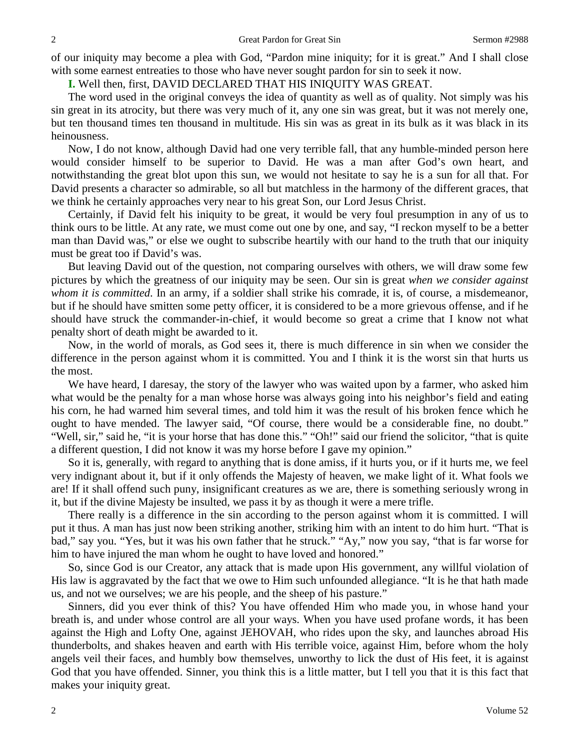of our iniquity may become a plea with God, "Pardon mine iniquity; for it is great." And I shall close with some earnest entreaties to those who have never sought pardon for sin to seek it now.

**I.** Well then, first, DAVID DECLARED THAT HIS INIQUITY WAS GREAT.

The word used in the original conveys the idea of quantity as well as of quality. Not simply was his sin great in its atrocity, but there was very much of it, any one sin was great, but it was not merely one, but ten thousand times ten thousand in multitude. His sin was as great in its bulk as it was black in its heinousness.

Now, I do not know, although David had one very terrible fall, that any humble-minded person here would consider himself to be superior to David. He was a man after God's own heart, and notwithstanding the great blot upon this sun, we would not hesitate to say he is a sun for all that. For David presents a character so admirable, so all but matchless in the harmony of the different graces, that we think he certainly approaches very near to his great Son, our Lord Jesus Christ.

Certainly, if David felt his iniquity to be great, it would be very foul presumption in any of us to think ours to be little. At any rate, we must come out one by one, and say, "I reckon myself to be a better man than David was," or else we ought to subscribe heartily with our hand to the truth that our iniquity must be great too if David's was.

But leaving David out of the question, not comparing ourselves with others, we will draw some few pictures by which the greatness of our iniquity may be seen. Our sin is great *when we consider against whom it is committed*. In an army, if a soldier shall strike his comrade, it is, of course, a misdemeanor, but if he should have smitten some petty officer, it is considered to be a more grievous offense, and if he should have struck the commander-in-chief, it would become so great a crime that I know not what penalty short of death might be awarded to it.

Now, in the world of morals, as God sees it, there is much difference in sin when we consider the difference in the person against whom it is committed. You and I think it is the worst sin that hurts us the most.

We have heard, I daresay, the story of the lawyer who was waited upon by a farmer, who asked him what would be the penalty for a man whose horse was always going into his neighbor's field and eating his corn, he had warned him several times, and told him it was the result of his broken fence which he ought to have mended. The lawyer said, "Of course, there would be a considerable fine, no doubt." "Well, sir," said he, "it is your horse that has done this." "Oh!" said our friend the solicitor, "that is quite a different question, I did not know it was my horse before I gave my opinion."

So it is, generally, with regard to anything that is done amiss, if it hurts you, or if it hurts me, we feel very indignant about it, but if it only offends the Majesty of heaven, we make light of it. What fools we are! If it shall offend such puny, insignificant creatures as we are, there is something seriously wrong in it, but if the divine Majesty be insulted, we pass it by as though it were a mere trifle.

There really is a difference in the sin according to the person against whom it is committed. I will put it thus. A man has just now been striking another, striking him with an intent to do him hurt. "That is bad," say you. "Yes, but it was his own father that he struck." "Ay," now you say, "that is far worse for him to have injured the man whom he ought to have loved and honored."

So, since God is our Creator, any attack that is made upon His government, any willful violation of His law is aggravated by the fact that we owe to Him such unfounded allegiance. "It is he that hath made us, and not we ourselves; we are his people, and the sheep of his pasture."

Sinners, did you ever think of this? You have offended Him who made you, in whose hand your breath is, and under whose control are all your ways. When you have used profane words, it has been against the High and Lofty One, against JEHOVAH, who rides upon the sky, and launches abroad His thunderbolts, and shakes heaven and earth with His terrible voice, against Him, before whom the holy angels veil their faces, and humbly bow themselves, unworthy to lick the dust of His feet, it is against God that you have offended. Sinner, you think this is a little matter, but I tell you that it is this fact that makes your iniquity great.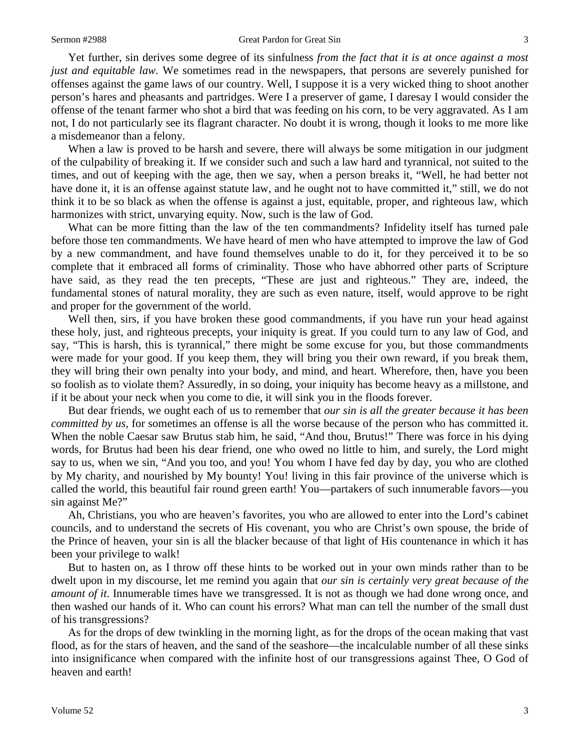Yet further, sin derives some degree of its sinfulness *from the fact that it is at once against a most just and equitable law.* We sometimes read in the newspapers, that persons are severely punished for offenses against the game laws of our country. Well, I suppose it is a very wicked thing to shoot another person's hares and pheasants and partridges. Were I a preserver of game, I daresay I would consider the offense of the tenant farmer who shot a bird that was feeding on his corn, to be very aggravated. As I am not, I do not particularly see its flagrant character. No doubt it is wrong, though it looks to me more like a misdemeanor than a felony.

When a law is proved to be harsh and severe, there will always be some mitigation in our judgment of the culpability of breaking it. If we consider such and such a law hard and tyrannical, not suited to the times, and out of keeping with the age, then we say, when a person breaks it, "Well, he had better not have done it, it is an offense against statute law, and he ought not to have committed it," still, we do not think it to be so black as when the offense is against a just, equitable, proper, and righteous law, which harmonizes with strict, unvarying equity. Now, such is the law of God.

What can be more fitting than the law of the ten commandments? Infidelity itself has turned pale before those ten commandments. We have heard of men who have attempted to improve the law of God by a new commandment, and have found themselves unable to do it, for they perceived it to be so complete that it embraced all forms of criminality. Those who have abhorred other parts of Scripture have said, as they read the ten precepts, "These are just and righteous." They are, indeed, the fundamental stones of natural morality, they are such as even nature, itself, would approve to be right and proper for the government of the world.

Well then, sirs, if you have broken these good commandments, if you have run your head against these holy, just, and righteous precepts, your iniquity is great. If you could turn to any law of God, and say, "This is harsh, this is tyrannical," there might be some excuse for you, but those commandments were made for your good. If you keep them, they will bring you their own reward, if you break them, they will bring their own penalty into your body, and mind, and heart. Wherefore, then, have you been so foolish as to violate them? Assuredly, in so doing, your iniquity has become heavy as a millstone, and if it be about your neck when you come to die, it will sink you in the floods forever.

But dear friends, we ought each of us to remember that *our sin is all the greater because it has been committed by us,* for sometimes an offense is all the worse because of the person who has committed it. When the noble Caesar saw Brutus stab him, he said, "And thou, Brutus!" There was force in his dying words, for Brutus had been his dear friend, one who owed no little to him, and surely, the Lord might say to us, when we sin, "And you too, and you! You whom I have fed day by day, you who are clothed by My charity, and nourished by My bounty! You! living in this fair province of the universe which is called the world, this beautiful fair round green earth! You—partakers of such innumerable favors—you sin against Me?"

Ah, Christians, you who are heaven's favorites, you who are allowed to enter into the Lord's cabinet councils, and to understand the secrets of His covenant, you who are Christ's own spouse, the bride of the Prince of heaven, your sin is all the blacker because of that light of His countenance in which it has been your privilege to walk!

But to hasten on, as I throw off these hints to be worked out in your own minds rather than to be dwelt upon in my discourse, let me remind you again that *our sin is certainly very great because of the amount of it*. Innumerable times have we transgressed. It is not as though we had done wrong once, and then washed our hands of it. Who can count his errors? What man can tell the number of the small dust of his transgressions?

As for the drops of dew twinkling in the morning light, as for the drops of the ocean making that vast flood, as for the stars of heaven, and the sand of the seashore—the incalculable number of all these sinks into insignificance when compared with the infinite host of our transgressions against Thee, O God of heaven and earth!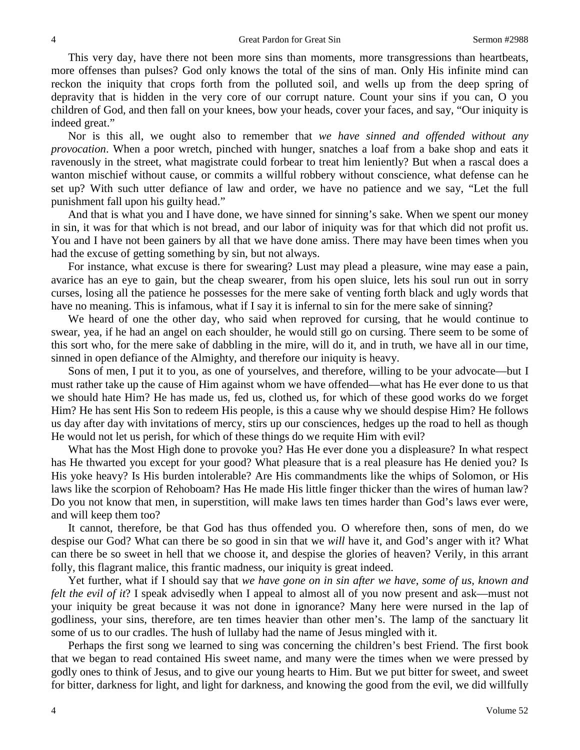This very day, have there not been more sins than moments, more transgressions than heartbeats, more offenses than pulses? God only knows the total of the sins of man. Only His infinite mind can reckon the iniquity that crops forth from the polluted soil, and wells up from the deep spring of depravity that is hidden in the very core of our corrupt nature. Count your sins if you can, O you children of God, and then fall on your knees, bow your heads, cover your faces, and say, "Our iniquity is indeed great."

Nor is this all, we ought also to remember that *we have sinned and offended without any provocation*. When a poor wretch, pinched with hunger, snatches a loaf from a bake shop and eats it ravenously in the street, what magistrate could forbear to treat him leniently? But when a rascal does a wanton mischief without cause, or commits a willful robbery without conscience, what defense can he set up? With such utter defiance of law and order, we have no patience and we say, "Let the full punishment fall upon his guilty head."

And that is what you and I have done, we have sinned for sinning's sake. When we spent our money in sin, it was for that which is not bread, and our labor of iniquity was for that which did not profit us. You and I have not been gainers by all that we have done amiss. There may have been times when you had the excuse of getting something by sin, but not always.

For instance, what excuse is there for swearing? Lust may plead a pleasure, wine may ease a pain, avarice has an eye to gain, but the cheap swearer, from his open sluice, lets his soul run out in sorry curses, losing all the patience he possesses for the mere sake of venting forth black and ugly words that have no meaning. This is infamous, what if I say it is infernal to sin for the mere sake of sinning?

We heard of one the other day, who said when reproved for cursing, that he would continue to swear, yea, if he had an angel on each shoulder, he would still go on cursing. There seem to be some of this sort who, for the mere sake of dabbling in the mire, will do it, and in truth, we have all in our time, sinned in open defiance of the Almighty, and therefore our iniquity is heavy.

Sons of men, I put it to you, as one of yourselves, and therefore, willing to be your advocate—but I must rather take up the cause of Him against whom we have offended—what has He ever done to us that we should hate Him? He has made us, fed us, clothed us, for which of these good works do we forget Him? He has sent His Son to redeem His people, is this a cause why we should despise Him? He follows us day after day with invitations of mercy, stirs up our consciences, hedges up the road to hell as though He would not let us perish, for which of these things do we requite Him with evil?

What has the Most High done to provoke you? Has He ever done you a displeasure? In what respect has He thwarted you except for your good? What pleasure that is a real pleasure has He denied you? Is His yoke heavy? Is His burden intolerable? Are His commandments like the whips of Solomon, or His laws like the scorpion of Rehoboam? Has He made His little finger thicker than the wires of human law? Do you not know that men, in superstition, will make laws ten times harder than God's laws ever were, and will keep them too?

It cannot, therefore, be that God has thus offended you. O wherefore then, sons of men, do we despise our God? What can there be so good in sin that we *will* have it, and God's anger with it? What can there be so sweet in hell that we choose it, and despise the glories of heaven? Verily, in this arrant folly, this flagrant malice, this frantic madness, our iniquity is great indeed.

Yet further, what if I should say that *we have gone on in sin after we have, some of us, known and felt the evil of it*? I speak advisedly when I appeal to almost all of you now present and ask—must not your iniquity be great because it was not done in ignorance? Many here were nursed in the lap of godliness, your sins, therefore, are ten times heavier than other men's. The lamp of the sanctuary lit some of us to our cradles. The hush of lullaby had the name of Jesus mingled with it.

Perhaps the first song we learned to sing was concerning the children's best Friend. The first book that we began to read contained His sweet name, and many were the times when we were pressed by godly ones to think of Jesus, and to give our young hearts to Him. But we put bitter for sweet, and sweet for bitter, darkness for light, and light for darkness, and knowing the good from the evil, we did willfully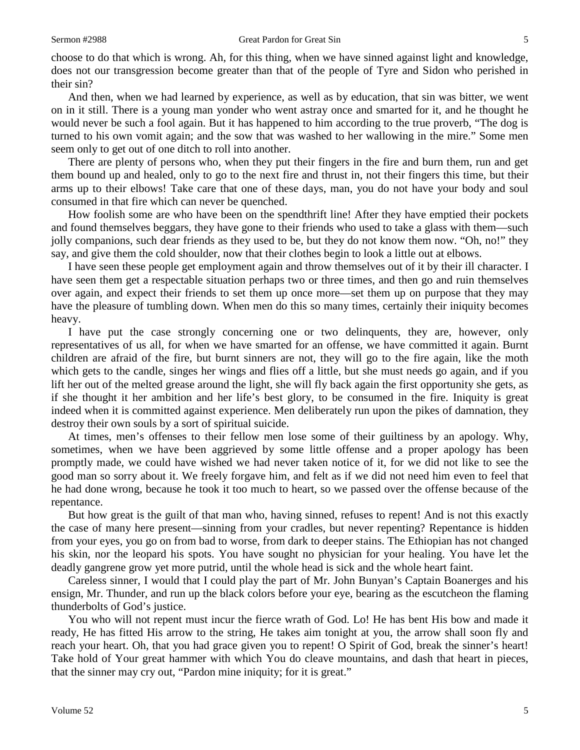choose to do that which is wrong. Ah, for this thing, when we have sinned against light and knowledge, does not our transgression become greater than that of the people of Tyre and Sidon who perished in their sin?

And then, when we had learned by experience, as well as by education, that sin was bitter, we went on in it still. There is a young man yonder who went astray once and smarted for it, and he thought he would never be such a fool again. But it has happened to him according to the true proverb, "The dog is turned to his own vomit again; and the sow that was washed to her wallowing in the mire." Some men seem only to get out of one ditch to roll into another.

There are plenty of persons who, when they put their fingers in the fire and burn them, run and get them bound up and healed, only to go to the next fire and thrust in, not their fingers this time, but their arms up to their elbows! Take care that one of these days, man, you do not have your body and soul consumed in that fire which can never be quenched.

How foolish some are who have been on the spendthrift line! After they have emptied their pockets and found themselves beggars, they have gone to their friends who used to take a glass with them—such jolly companions, such dear friends as they used to be, but they do not know them now. "Oh, no!" they say, and give them the cold shoulder, now that their clothes begin to look a little out at elbows.

I have seen these people get employment again and throw themselves out of it by their ill character. I have seen them get a respectable situation perhaps two or three times, and then go and ruin themselves over again, and expect their friends to set them up once more—set them up on purpose that they may have the pleasure of tumbling down. When men do this so many times, certainly their iniquity becomes heavy.

I have put the case strongly concerning one or two delinquents, they are, however, only representatives of us all, for when we have smarted for an offense, we have committed it again. Burnt children are afraid of the fire, but burnt sinners are not, they will go to the fire again, like the moth which gets to the candle, singes her wings and flies off a little, but she must needs go again, and if you lift her out of the melted grease around the light, she will fly back again the first opportunity she gets, as if she thought it her ambition and her life's best glory, to be consumed in the fire. Iniquity is great indeed when it is committed against experience. Men deliberately run upon the pikes of damnation, they destroy their own souls by a sort of spiritual suicide.

At times, men's offenses to their fellow men lose some of their guiltiness by an apology. Why, sometimes, when we have been aggrieved by some little offense and a proper apology has been promptly made, we could have wished we had never taken notice of it, for we did not like to see the good man so sorry about it. We freely forgave him, and felt as if we did not need him even to feel that he had done wrong, because he took it too much to heart, so we passed over the offense because of the repentance.

But how great is the guilt of that man who, having sinned, refuses to repent! And is not this exactly the case of many here present—sinning from your cradles, but never repenting? Repentance is hidden from your eyes, you go on from bad to worse, from dark to deeper stains. The Ethiopian has not changed his skin, nor the leopard his spots. You have sought no physician for your healing. You have let the deadly gangrene grow yet more putrid, until the whole head is sick and the whole heart faint.

Careless sinner, I would that I could play the part of Mr. John Bunyan's Captain Boanerges and his ensign, Mr. Thunder, and run up the black colors before your eye, bearing as the escutcheon the flaming thunderbolts of God's justice.

You who will not repent must incur the fierce wrath of God. Lo! He has bent His bow and made it ready, He has fitted His arrow to the string, He takes aim tonight at you, the arrow shall soon fly and reach your heart. Oh, that you had grace given you to repent! O Spirit of God, break the sinner's heart! Take hold of Your great hammer with which You do cleave mountains, and dash that heart in pieces, that the sinner may cry out, "Pardon mine iniquity; for it is great."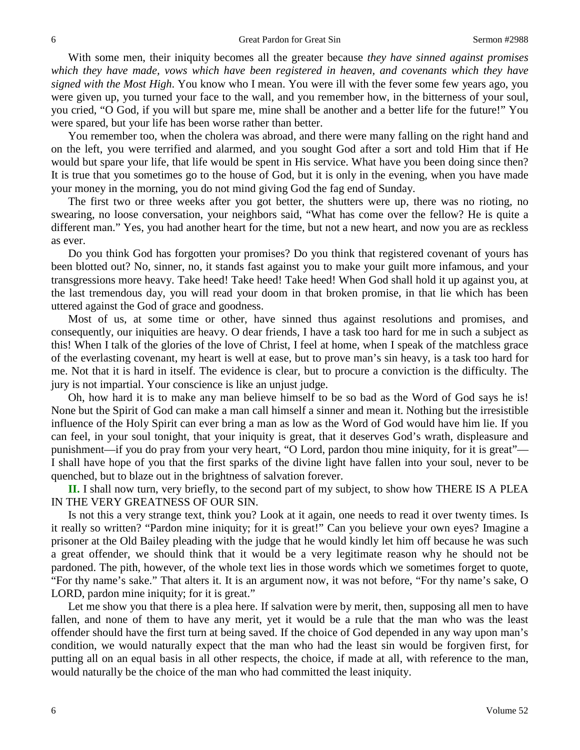With some men, their iniquity becomes all the greater because *they have sinned against promises which they have made, vows which have been registered in heaven, and covenants which they have signed with the Most High*. You know who I mean. You were ill with the fever some few years ago, you were given up, you turned your face to the wall, and you remember how, in the bitterness of your soul, you cried, "O God, if you will but spare me, mine shall be another and a better life for the future!" You were spared, but your life has been worse rather than better.

You remember too, when the cholera was abroad, and there were many falling on the right hand and on the left, you were terrified and alarmed, and you sought God after a sort and told Him that if He would but spare your life, that life would be spent in His service. What have you been doing since then? It is true that you sometimes go to the house of God, but it is only in the evening, when you have made your money in the morning, you do not mind giving God the fag end of Sunday.

The first two or three weeks after you got better, the shutters were up, there was no rioting, no swearing, no loose conversation, your neighbors said, "What has come over the fellow? He is quite a different man." Yes, you had another heart for the time, but not a new heart, and now you are as reckless as ever.

Do you think God has forgotten your promises? Do you think that registered covenant of yours has been blotted out? No, sinner, no, it stands fast against you to make your guilt more infamous, and your transgressions more heavy. Take heed! Take heed! Take heed! When God shall hold it up against you, at the last tremendous day, you will read your doom in that broken promise, in that lie which has been uttered against the God of grace and goodness.

Most of us, at some time or other, have sinned thus against resolutions and promises, and consequently, our iniquities are heavy. O dear friends, I have a task too hard for me in such a subject as this! When I talk of the glories of the love of Christ, I feel at home, when I speak of the matchless grace of the everlasting covenant, my heart is well at ease, but to prove man's sin heavy, is a task too hard for me. Not that it is hard in itself. The evidence is clear, but to procure a conviction is the difficulty. The jury is not impartial. Your conscience is like an unjust judge.

Oh, how hard it is to make any man believe himself to be so bad as the Word of God says he is! None but the Spirit of God can make a man call himself a sinner and mean it. Nothing but the irresistible influence of the Holy Spirit can ever bring a man as low as the Word of God would have him lie. If you can feel, in your soul tonight, that your iniquity is great, that it deserves God's wrath, displeasure and punishment—if you do pray from your very heart, "O Lord, pardon thou mine iniquity, for it is great"— I shall have hope of you that the first sparks of the divine light have fallen into your soul, never to be quenched, but to blaze out in the brightness of salvation forever.

**II.** I shall now turn, very briefly, to the second part of my subject, to show how THERE IS A PLEA IN THE VERY GREATNESS OF OUR SIN.

Is not this a very strange text, think you? Look at it again, one needs to read it over twenty times. Is it really so written? "Pardon mine iniquity; for it is great!" Can you believe your own eyes? Imagine a prisoner at the Old Bailey pleading with the judge that he would kindly let him off because he was such a great offender, we should think that it would be a very legitimate reason why he should not be pardoned. The pith, however, of the whole text lies in those words which we sometimes forget to quote, "For thy name's sake." That alters it. It is an argument now, it was not before, "For thy name's sake, O LORD, pardon mine iniquity; for it is great."

Let me show you that there is a plea here. If salvation were by merit, then, supposing all men to have fallen, and none of them to have any merit, yet it would be a rule that the man who was the least offender should have the first turn at being saved. If the choice of God depended in any way upon man's condition, we would naturally expect that the man who had the least sin would be forgiven first, for putting all on an equal basis in all other respects, the choice, if made at all, with reference to the man, would naturally be the choice of the man who had committed the least iniquity.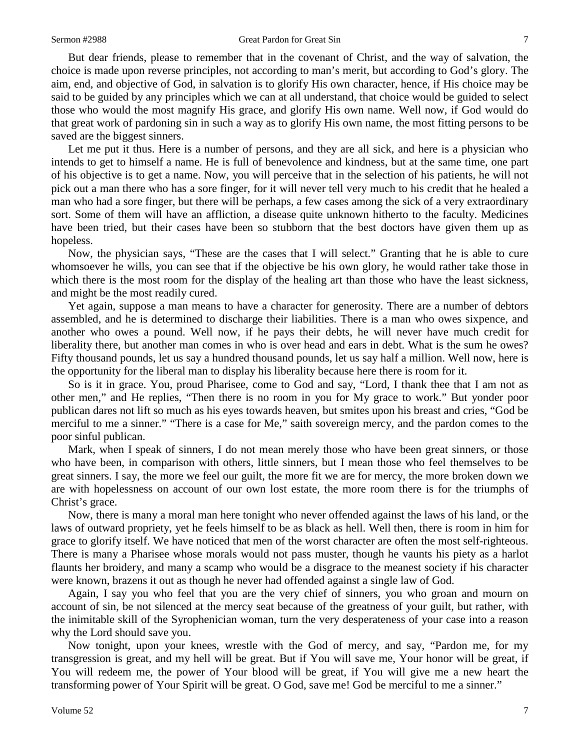But dear friends, please to remember that in the covenant of Christ, and the way of salvation, the choice is made upon reverse principles, not according to man's merit, but according to God's glory. The aim, end, and objective of God, in salvation is to glorify His own character, hence, if His choice may be said to be guided by any principles which we can at all understand, that choice would be guided to select those who would the most magnify His grace, and glorify His own name. Well now, if God would do that great work of pardoning sin in such a way as to glorify His own name, the most fitting persons to be saved are the biggest sinners.

Let me put it thus. Here is a number of persons, and they are all sick, and here is a physician who intends to get to himself a name. He is full of benevolence and kindness, but at the same time, one part of his objective is to get a name. Now, you will perceive that in the selection of his patients, he will not pick out a man there who has a sore finger, for it will never tell very much to his credit that he healed a man who had a sore finger, but there will be perhaps, a few cases among the sick of a very extraordinary sort. Some of them will have an affliction, a disease quite unknown hitherto to the faculty. Medicines have been tried, but their cases have been so stubborn that the best doctors have given them up as hopeless.

Now, the physician says, "These are the cases that I will select." Granting that he is able to cure whomsoever he wills, you can see that if the objective be his own glory, he would rather take those in which there is the most room for the display of the healing art than those who have the least sickness, and might be the most readily cured.

Yet again, suppose a man means to have a character for generosity. There are a number of debtors assembled, and he is determined to discharge their liabilities. There is a man who owes sixpence, and another who owes a pound. Well now, if he pays their debts, he will never have much credit for liberality there, but another man comes in who is over head and ears in debt. What is the sum he owes? Fifty thousand pounds, let us say a hundred thousand pounds, let us say half a million. Well now, here is the opportunity for the liberal man to display his liberality because here there is room for it.

So is it in grace. You, proud Pharisee, come to God and say, "Lord, I thank thee that I am not as other men," and He replies, "Then there is no room in you for My grace to work." But yonder poor publican dares not lift so much as his eyes towards heaven, but smites upon his breast and cries, "God be merciful to me a sinner." "There is a case for Me," saith sovereign mercy, and the pardon comes to the poor sinful publican.

Mark, when I speak of sinners, I do not mean merely those who have been great sinners, or those who have been, in comparison with others, little sinners, but I mean those who feel themselves to be great sinners. I say, the more we feel our guilt, the more fit we are for mercy, the more broken down we are with hopelessness on account of our own lost estate, the more room there is for the triumphs of Christ's grace.

Now, there is many a moral man here tonight who never offended against the laws of his land, or the laws of outward propriety, yet he feels himself to be as black as hell. Well then, there is room in him for grace to glorify itself. We have noticed that men of the worst character are often the most self-righteous. There is many a Pharisee whose morals would not pass muster, though he vaunts his piety as a harlot flaunts her broidery, and many a scamp who would be a disgrace to the meanest society if his character were known, brazens it out as though he never had offended against a single law of God.

Again, I say you who feel that you are the very chief of sinners, you who groan and mourn on account of sin, be not silenced at the mercy seat because of the greatness of your guilt, but rather, with the inimitable skill of the Syrophenician woman, turn the very desperateness of your case into a reason why the Lord should save you.

Now tonight, upon your knees, wrestle with the God of mercy, and say, "Pardon me, for my transgression is great, and my hell will be great. But if You will save me, Your honor will be great, if You will redeem me, the power of Your blood will be great, if You will give me a new heart the transforming power of Your Spirit will be great. O God, save me! God be merciful to me a sinner."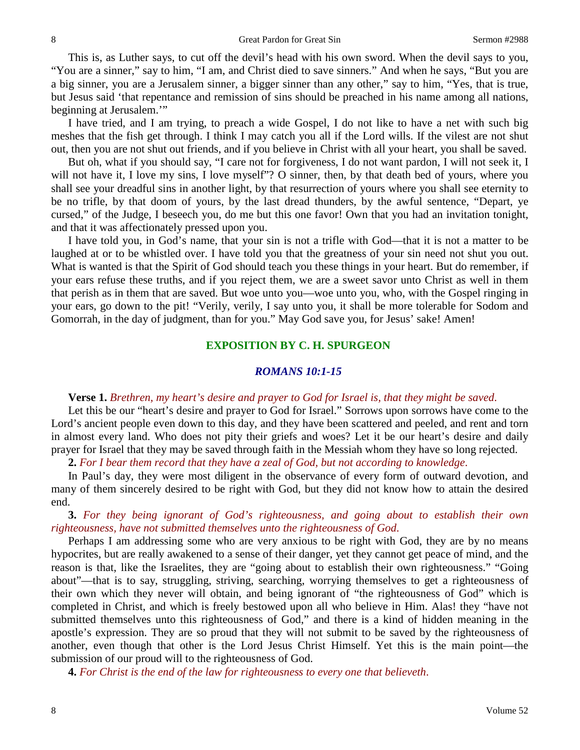This is, as Luther says, to cut off the devil's head with his own sword. When the devil says to you, "You are a sinner," say to him, "I am, and Christ died to save sinners." And when he says, "But you are a big sinner, you are a Jerusalem sinner, a bigger sinner than any other," say to him, "Yes, that is true, but Jesus said 'that repentance and remission of sins should be preached in his name among all nations, beginning at Jerusalem."

I have tried, and I am trying, to preach a wide Gospel, I do not like to have a net with such big meshes that the fish get through. I think I may catch you all if the Lord wills. If the vilest are not shut out, then you are not shut out friends, and if you believe in Christ with all your heart, you shall be saved.

But oh, what if you should say, "I care not for forgiveness, I do not want pardon, I will not seek it, I will not have it, I love my sins, I love myself"? O sinner, then, by that death bed of yours, where you shall see your dreadful sins in another light, by that resurrection of yours where you shall see eternity to be no trifle, by that doom of yours, by the last dread thunders, by the awful sentence, "Depart, ye cursed," of the Judge, I beseech you, do me but this one favor! Own that you had an invitation tonight, and that it was affectionately pressed upon you.

I have told you, in God's name, that your sin is not a trifle with God—that it is not a matter to be laughed at or to be whistled over. I have told you that the greatness of your sin need not shut you out. What is wanted is that the Spirit of God should teach you these things in your heart. But do remember, if your ears refuse these truths, and if you reject them, we are a sweet savor unto Christ as well in them that perish as in them that are saved. But woe unto you—woe unto you, who, with the Gospel ringing in your ears, go down to the pit! "Verily, verily, I say unto you, it shall be more tolerable for Sodom and Gomorrah, in the day of judgment, than for you." May God save you, for Jesus' sake! Amen!

#### **EXPOSITION BY C. H. SPURGEON**

#### *ROMANS 10:1-15*

### **Verse 1.** *Brethren, my heart's desire and prayer to God for Israel is, that they might be saved*.

Let this be our "heart's desire and prayer to God for Israel." Sorrows upon sorrows have come to the Lord's ancient people even down to this day, and they have been scattered and peeled, and rent and torn in almost every land. Who does not pity their griefs and woes? Let it be our heart's desire and daily prayer for Israel that they may be saved through faith in the Messiah whom they have so long rejected.

**2.** *For I bear them record that they have a zeal of God, but not according to knowledge*.

In Paul's day, they were most diligent in the observance of every form of outward devotion, and many of them sincerely desired to be right with God, but they did not know how to attain the desired end.

**3.** *For they being ignorant of God's righteousness, and going about to establish their own righteousness, have not submitted themselves unto the righteousness of God*.

Perhaps I am addressing some who are very anxious to be right with God, they are by no means hypocrites, but are really awakened to a sense of their danger, yet they cannot get peace of mind, and the reason is that, like the Israelites, they are "going about to establish their own righteousness." "Going about"—that is to say, struggling, striving, searching, worrying themselves to get a righteousness of their own which they never will obtain, and being ignorant of "the righteousness of God" which is completed in Christ, and which is freely bestowed upon all who believe in Him. Alas! they "have not submitted themselves unto this righteousness of God," and there is a kind of hidden meaning in the apostle's expression. They are so proud that they will not submit to be saved by the righteousness of another, even though that other is the Lord Jesus Christ Himself. Yet this is the main point—the submission of our proud will to the righteousness of God.

**4.** *For Christ is the end of the law for righteousness to every one that believeth*.